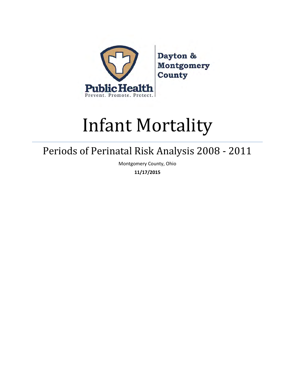

Dayton & **Montgomery** County

# Infant Mortality

# Periods of Perinatal Risk Analysis 2008 - 2011

Montgomery County, Ohio

**11/17/2015**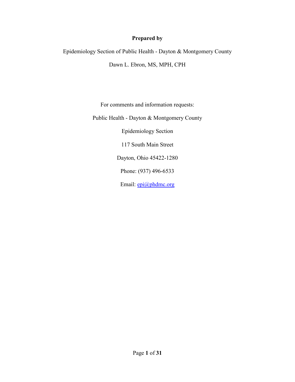# **Prepared by**

Epidemiology Section of Public Health - Dayton & Montgomery County

Dawn L. Ebron, MS, MPH, CPH

For comments and information requests:

Public Health - Dayton & Montgomery County

Epidemiology Section

117 South Main Street

Dayton, Ohio 45422-1280

Phone: (937) 496-6533

Email: [epi@phdmc.org](mailto:epi@phdmc.org)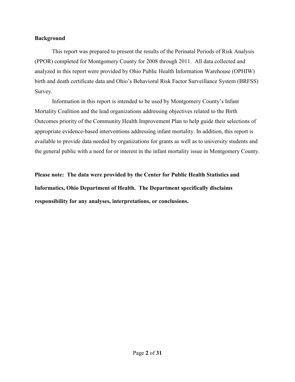#### **Background**

 This report was prepared to present the results of the Perinatal Periods of Risk Analysis (PPOR) completed for Montgomery County for 2008 through 2011. All data collected and analyzed in this report were provided by Ohio Public Health Information Warehouse (OPHIW) birth and death certificate data and Ohio's Behavioral Risk Factor Surveillance System (BRFSS) Survey.

 Information in this report is intended to be used by Montgomery County's Infant Mortality Coalition and the lead organizations addressing objectives related to the Birth Outcomes priority of the Community Health Improvement Plan to help guide their selections of appropriate evidence-based interventions addressing infant mortality. In addition, this report is available to provide data needed by organizations for grants as well as to university students and the general public with a need for or interest in the infant mortality issue in Montgomery County.

**Please note: The data were provided by the Center for Public Health Statistics and Informatics, Ohio Department of Health. The Department specifically disclaims responsibility for any analyses, interpretations, or conclusions.**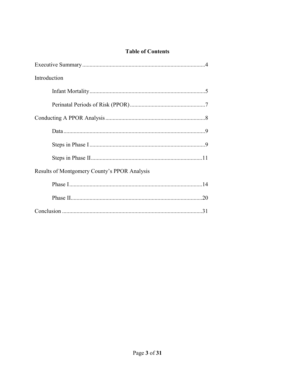# **Table of Contents**

| Introduction                                 |
|----------------------------------------------|
|                                              |
|                                              |
|                                              |
|                                              |
|                                              |
|                                              |
| Results of Montgomery County's PPOR Analysis |
|                                              |
|                                              |
|                                              |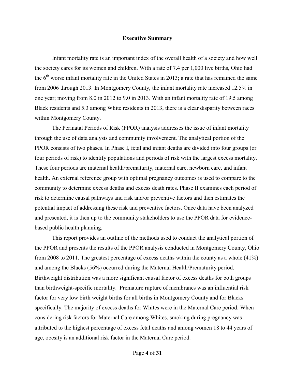#### **Executive Summary**

 Infant mortality rate is an important index of the overall health of a society and how well the society cares for its women and children. With a rate of 7.4 per 1,000 live births, Ohio had the  $6<sup>th</sup>$  worse infant mortality rate in the United States in 2013; a rate that has remained the same from 2006 through 2013. In Montgomery County, the infant mortality rate increased 12.5% in one year; moving from 8.0 in 2012 to 9.0 in 2013. With an infant mortality rate of 19.5 among Black residents and 5.3 among White residents in 2013, there is a clear disparity between races within Montgomery County.

 The Perinatal Periods of Risk (PPOR) analysis addresses the issue of infant mortality through the use of data analysis and community involvement. The analytical portion of the PPOR consists of two phases. In Phase I, fetal and infant deaths are divided into four groups (or four periods of risk) to identify populations and periods of risk with the largest excess mortality. These four periods are maternal health/prematurity, maternal care, newborn care, and infant health. An external reference group with optimal pregnancy outcomes is used to compare to the community to determine excess deaths and excess death rates. Phase II examines each period of risk to determine causal pathways and risk and/or preventive factors and then estimates the potential impact of addressing these risk and preventive factors. Once data have been analyzed and presented, it is then up to the community stakeholders to use the PPOR data for evidencebased public health planning.

 This report provides an outline of the methods used to conduct the analytical portion of the PPOR and presents the results of the PPOR analysis conducted in Montgomery County, Ohio from 2008 to 2011. The greatest percentage of excess deaths within the county as a whole (41%) and among the Blacks (56%) occurred during the Maternal Health/Prematurity period. Birthweight distribution was a more significant causal factor of excess deaths for both groups than birthweight-specific mortality. Premature rupture of membranes was an influential risk factor for very low birth weight births for all births in Montgomery County and for Blacks specifically. The majority of excess deaths for Whites were in the Maternal Care period. When considering risk factors for Maternal Care among Whites, smoking during pregnancy was attributed to the highest percentage of excess fetal deaths and among women 18 to 44 years of age, obesity is an additional risk factor in the Maternal Care period.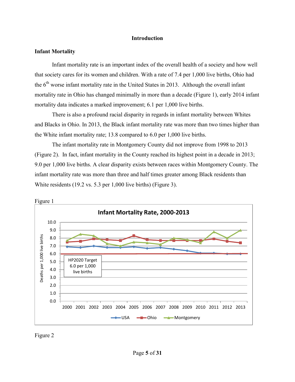#### **Introduction**

#### **Infant Mortality**

 Infant mortality rate is an important index of the overall health of a society and how well that society cares for its women and children. With a rate of 7.4 per 1,000 live births, Ohio had the  $6<sup>th</sup>$  worse infant mortality rate in the United States in 2013. Although the overall infant mortality rate in Ohio has changed minimally in more than a decade (Figure 1), early 2014 infant mortality data indicates a marked improvement; 6.1 per 1,000 live births.

 There is also a profound racial disparity in regards in infant mortality between Whites and Blacks in Ohio. In 2013, the Black infant mortality rate was more than two times higher than the White infant mortality rate; 13.8 compared to 6.0 per 1,000 live births.

 The infant mortality rate in Montgomery County did not improve from 1998 to 2013 (Figure 2). In fact, infant mortality in the County reached its highest point in a decade in 2013; 9.0 per 1,000 live births. A clear disparity exists between races within Montgomery County. The infant mortality rate was more than three and half times greater among Black residents than White residents (19.2 vs. 5.3 per 1,000 live births) (Figure 3).



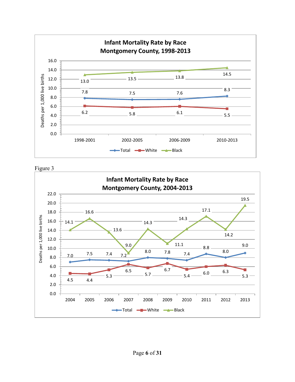



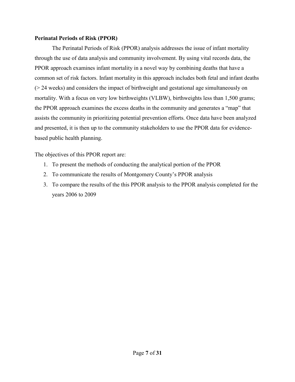#### **Perinatal Periods of Risk (PPOR)**

 The Perinatal Periods of Risk (PPOR) analysis addresses the issue of infant mortality through the use of data analysis and community involvement. By using vital records data, the PPOR approach examines infant mortality in a novel way by combining deaths that have a common set of risk factors. Infant mortality in this approach includes both fetal and infant deaths (> 24 weeks) and considers the impact of birthweight and gestational age simultaneously on mortality. With a focus on very low birthweights (VLBW), birthweights less than 1,500 grams; the PPOR approach examines the excess deaths in the community and generates a "map" that assists the community in prioritizing potential prevention efforts. Once data have been analyzed and presented, it is then up to the community stakeholders to use the PPOR data for evidencebased public health planning.

The objectives of this PPOR report are:

- 1. To present the methods of conducting the analytical portion of the PPOR
- 2. To communicate the results of Montgomery County's PPOR analysis
- 3. To compare the results of the this PPOR analysis to the PPOR analysis completed for the years 2006 to 2009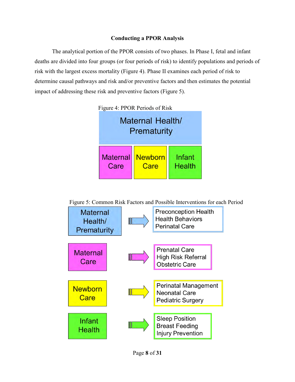### **Conducting a PPOR Analysis**

 The analytical portion of the PPOR consists of two phases. In Phase I, fetal and infant deaths are divided into four groups (or four periods of risk) to identify populations and periods of risk with the largest excess mortality (Figure 4). Phase II examines each period of risk to determine causal pathways and risk and/or preventive factors and then estimates the potential impact of addressing these risk and preventive factors (Figure 5).



Figure 5: Common Risk Factors and Possible Interventions for each Period

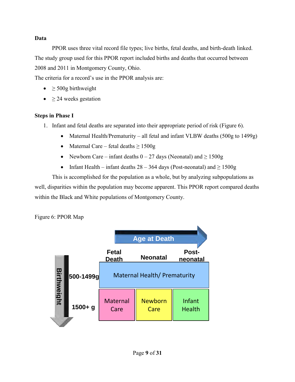# **Data**

 PPOR uses three vital record file types; live births, fetal deaths, and birth-death linked. The study group used for this PPOR report included births and deaths that occurred between 2008 and 2011 in Montgomery County, Ohio.

The criteria for a record's use in the PPOR analysis are:

- $\bullet$   $\geq$  500g birthweight
- ≥ 24 weeks gestation

# **Steps in Phase I**

- 1. Infant and fetal deaths are separated into their appropriate period of risk (Figure 6).
	- Maternal Health/Prematurity all fetal and infant VLBW deaths (500g to 1499g)
	- Maternal Care fetal deaths  $\geq 1500$ g
	- Newborn Care infant deaths  $0 27$  days (Neonatal) and  $\ge 1500$  g
	- Infant Health infant deaths  $28 364$  days (Post-neonatal) and  $\ge 1500$ g

 This is accomplished for the population as a whole, but by analyzing subpopulations as well, disparities within the population may become apparent. This PPOR report compared deaths within the Black and White populations of Montgomery County.

Figure 6: PPOR Map

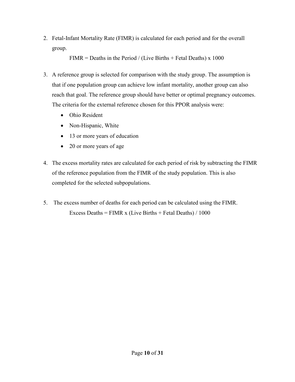2. Fetal-Infant Mortality Rate (FIMR) is calculated for each period and for the overall group.

FIMR = Deaths in the Period / (Live Births + Fetal Deaths) x 1000

- 3. A reference group is selected for comparison with the study group. The assumption is that if one population group can achieve low infant mortality, another group can also reach that goal. The reference group should have better or optimal pregnancy outcomes. The criteria for the external reference chosen for this PPOR analysis were:
	- Ohio Resident
	- Non-Hispanic, White
	- 13 or more years of education
	- 20 or more years of age
- 4. The excess mortality rates are calculated for each period of risk by subtracting the FIMR of the reference population from the FIMR of the study population. This is also completed for the selected subpopulations.
- 5. The excess number of deaths for each period can be calculated using the FIMR. Excess Deaths = FIMR x (Live Births + Fetal Deaths)  $/ 1000$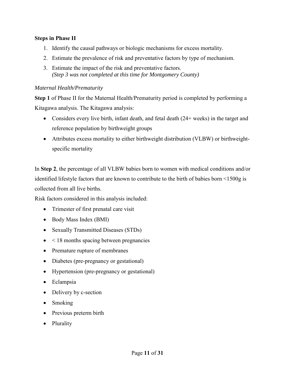# **Steps in Phase II**

- 1. Identify the causal pathways or biologic mechanisms for excess mortality.
- 2. Estimate the prevalence of risk and preventative factors by type of mechanism.
- 3. Estimate the impact of the risk and preventative factors. *(Step 3 was not completed at this time for Montgomery County)*

#### *Maternal Health/Prematurity*

**Step 1** of Phase II for the Maternal Health/Prematurity period is completed by performing a Kitagawa analysis. The Kitagawa analysis:

- Considers every live birth, infant death, and fetal death (24+ weeks) in the target and reference population by birthweight groups
- Attributes excess mortality to either birthweight distribution (VLBW) or birthweightspecific mortality

In **Step 2**, the percentage of all VLBW babies born to women with medical conditions and/or identified lifestyle factors that are known to contribute to the birth of babies born <1500g is collected from all live births.

Risk factors considered in this analysis included:

- Trimester of first prenatal care visit
- Body Mass Index (BMI)
- Sexually Transmitted Diseases (STDs)
- $\bullet$  < 18 months spacing between pregnancies
- Premature rupture of membranes
- Diabetes (pre-pregnancy or gestational)
- Hypertension (pre-pregnancy or gestational)
- Eclampsia
- Delivery by c-section
- Smoking
- Previous preterm birth
- Plurality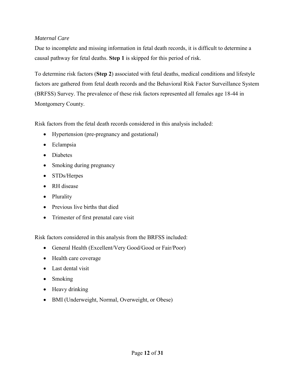# *Maternal Care*

Due to incomplete and missing information in fetal death records, it is difficult to determine a causal pathway for fetal deaths. **Step 1** is skipped for this period of risk.

To determine risk factors (**Step 2**) associated with fetal deaths, medical conditions and lifestyle factors are gathered from fetal death records and the Behavioral Risk Factor Surveillance System (BRFSS) Survey. The prevalence of these risk factors represented all females age 18-44 in Montgomery County.

Risk factors from the fetal death records considered in this analysis included:

- Hypertension (pre-pregnancy and gestational)
- Eclampsia
- Diabetes
- Smoking during pregnancy
- STDs/Herpes
- RH disease
- Plurality
- Previous live births that died
- Trimester of first prenatal care visit

Risk factors considered in this analysis from the BRFSS included:

- General Health (Excellent/Very Good/Good or Fair/Poor)
- Health care coverage
- Last dental visit
- Smoking
- Heavy drinking
- BMI (Underweight, Normal, Overweight, or Obese)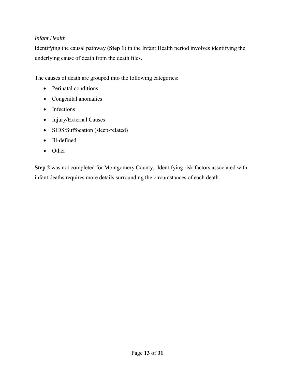# *Infant Health*

Identifying the causal pathway (**Step 1**) in the Infant Health period involves identifying the underlying cause of death from the death files.

The causes of death are grouped into the following categories:

- Perinatal conditions
- Congenital anomalies
- Infections
- Injury/External Causes
- SIDS/Suffocation (sleep-related)
- Ill-defined
- Other

**Step 2** was not completed for Montgomery County. Identifying risk factors associated with infant deaths requires more details surrounding the circumstances of each death.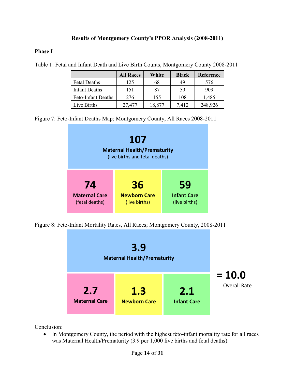# **Results of Montgomery County's PPOR Analysis (2008-2011)**

# **Phase I**

|                           | <b>All Races</b> | White  | <b>Black</b> | Reference |
|---------------------------|------------------|--------|--------------|-----------|
| <b>Fetal Deaths</b>       | 125              | 68     | 49           | 576       |
| <b>Infant Deaths</b>      | 151              | 87     | 59           | 909       |
| <b>Feto-Infant Deaths</b> | 276              | 155    | 108          | 1,485     |
| Live Births               | 27,477           | 18,877 | 7,412        | 248,926   |

Table 1: Fetal and Infant Death and Live Birth Counts, Montgomery County 2008-2011

Figure 7: Feto-Infant Deaths Map; Montgomery County, All Races 2008-2011



Figure 8: Feto-Infant Mortality Rates, All Races; Montgomery County, 2008-2011



Conclusion:

• In Montgomery County, the period with the highest feto-infant mortality rate for all races was Maternal Health/Prematurity (3.9 per 1,000 live births and fetal deaths).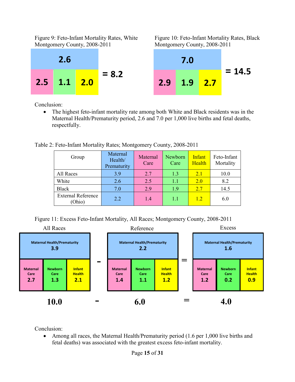Figure 9: Feto-Infant Mortality Rates, White Figure 10: Feto-Infant Mortality Rates, Black Montgomery County, 2008-2011 Montgomery County, 2008-2011





Conclusion:

• The highest feto-infant mortality rate among both White and Black residents was in the Maternal Health/Prematurity period, 2.6 and 7.0 per 1,000 live births and fetal deaths, respectfully.

Table 2: Feto-Infant Mortality Rates; Montgomery County, 2008-2011

| Group                               | Maternal<br>Health/<br>Prematurity | Maternal<br>Care | Newborn<br>Care | Infant<br>Health | Feto-Infant<br>Mortality |
|-------------------------------------|------------------------------------|------------------|-----------------|------------------|--------------------------|
| All Races                           | 3.9                                | 2.7              | 1.3             | 2.1              | 10.0                     |
| White                               | 2.6                                | 2.5              | 1.1             | <b>2.0</b>       | 8.2                      |
| <b>Black</b>                        | 7.0                                | 2.9              | 1.9             | 2.7              | 14.5                     |
| <b>External Reference</b><br>(Ohio) | 2.2                                | 1.4              | 1.1             | 1.2              | 6.0                      |

Figure 11: Excess Feto-Infant Mortality, All Races; Montgomery County, 2008-2011



Conclusion:

• Among all races, the Maternal Health/Prematurity period (1.6 per 1,000 live births and fetal deaths) was associated with the greatest excess feto-infant mortality.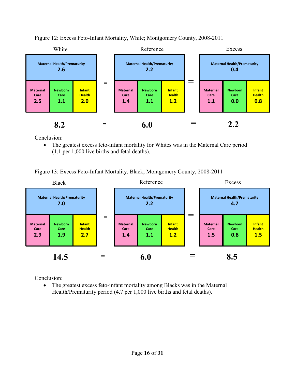

Figure 12: Excess Feto-Infant Mortality, White; Montgomery County, 2008-2011

Conclusion:

 The greatest excess feto-infant mortality for Whites was in the Maternal Care period (1.1 per 1,000 live births and fetal deaths).

Figure 13: Excess Feto-Infant Mortality, Black; Montgomery County, 2008-2011



Conclusion:

 The greatest excess feto-infant mortality among Blacks was in the Maternal Health/Prematurity period (4.7 per 1,000 live births and fetal deaths).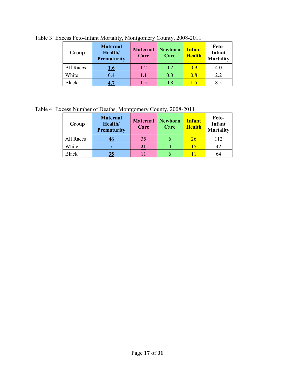| Group        | <b>Maternal</b><br>Health/<br><b>Prematurity</b> | <b>Maternal</b><br>Care | <b>Newborn</b><br>Care | <b>Infant</b><br><b>Health</b> | Feto-<br>Infant<br><b>Mortality</b> |
|--------------|--------------------------------------------------|-------------------------|------------------------|--------------------------------|-------------------------------------|
| All Races    | 1.6                                              | 1.2                     | 0.2                    | 0.9                            | 4.0                                 |
| White        | 0.4                                              | 1.1                     | 0.0                    | 0.8                            | 2.2                                 |
| <b>Black</b> |                                                  | 1.5                     | 0.8                    | 1.5                            | 8.5                                 |

Table 3: Excess Feto-Infant Mortality, Montgomery County, 2008-2011

Table 4: Excess Number of Deaths, Montgomery County, 2008-2011

| Group        | <b>Maternal</b><br>Health/<br><b>Prematurity</b> | <b>Maternal</b><br>Care | <b>Newborn</b><br>Care | <b>Infant</b><br><b>Health</b> | Feto-<br><b>Infant</b><br><b>Mortality</b> |
|--------------|--------------------------------------------------|-------------------------|------------------------|--------------------------------|--------------------------------------------|
| All Races    | 46                                               | 35                      |                        | <u>26</u>                      | 112                                        |
| White        |                                                  | 21                      |                        | 15                             | 42                                         |
| <b>Black</b> | 35                                               |                         |                        |                                | 64                                         |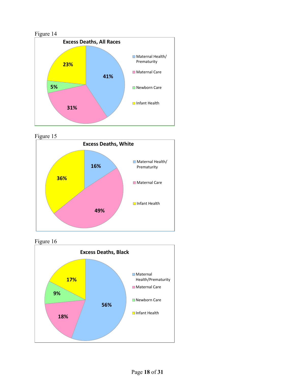

Figure 15





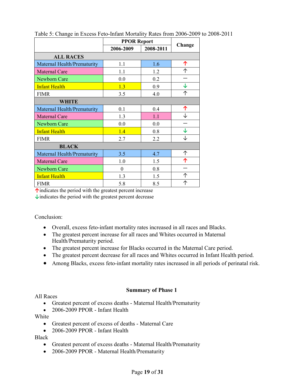|                                    | <b>PPOR Report</b> |           |        |
|------------------------------------|--------------------|-----------|--------|
|                                    | 2006-2009          | 2008-2011 | Change |
| <b>ALL RACES</b>                   |                    |           |        |
| Maternal Health/Prematurity        | 1.1                | 1.6       | 个      |
| <b>Maternal Care</b>               | 1.1                | 1.2       | ↑      |
| Newborn Care                       | 0.0                | 0.2       |        |
| <b>Infant Health</b>               | 1.3                | 0.9       | ↓      |
| <b>FIMR</b>                        | 3.5                | 4.0       | 个      |
| WHITE                              |                    |           |        |
| Maternal Health/Prematurity        | 0.1                | 0.4       | 个      |
| <b>Maternal Care</b>               | 1.3                | 1.1       |        |
| Newborn Care                       | 0.0                | 0.0       |        |
| <b>Infant Health</b>               | 1.4                | 0.8       | ↓      |
| <b>FIMR</b>                        | 2.7                | 2.2       | ↓      |
| <b>BLACK</b>                       |                    |           |        |
| <b>Maternal Health/Prematurity</b> | 3.5                | 4.7       | 个      |
| <b>Maternal Care</b>               | 1.0                | 1.5       | ↑      |
| Newborn Care                       | $\theta$           | 0.8       |        |
| <b>Infant Health</b>               | 1.3                | 1.5       | 个      |
| <b>FIMR</b>                        | 5.8                | 8.5       | 个      |

Table 5: Change in Excess Feto-Infant Mortality Rates from 2006-2009 to 2008-2011

**↑**indicates the period with the greatest percent increase

**↓**indicates the period with the greatest percent decrease

Conclusion:

- Overall, excess feto-infant mortality rates increased in all races and Blacks.
- The greatest percent increase for all races and Whites occurred in Maternal Health/Prematurity period.
- The greatest percent increase for Blacks occurred in the Maternal Care period.
- The greatest percent decrease for all races and Whites occurred in Infant Health period.
- Among Blacks, excess feto-infant mortality rates increased in all periods of perinatal risk.

#### **Summary of Phase 1**

All Races

- Greatest percent of excess deaths Maternal Health/Prematurity
- 2006-2009 PPOR Infant Health

White

- Greatest percent of excess of deaths Maternal Care
- 2006-2009 PPOR Infant Health

Black

- Greatest percent of excess deaths Maternal Health/Prematurity
- 2006-2009 PPOR Maternal Health/Prematurity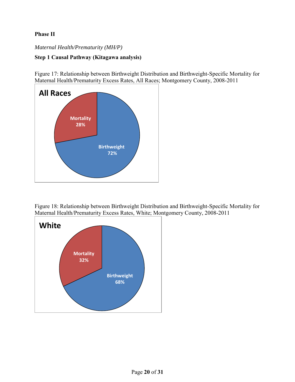# **Phase II**

### *Maternal Health/Prematurity (MH/P)*

# **Step 1 Causal Pathway (Kitagawa analysis)**

Figure 17: Relationship between Birthweight Distribution and Birthweight-Specific Mortality for Maternal Health/Prematurity Excess Rates, All Races; Montgomery County, 2008-2011



Figure 18: Relationship between Birthweight Distribution and Birthweight-Specific Mortality for Maternal Health/Prematurity Excess Rates, White; Montgomery County, 2008-2011

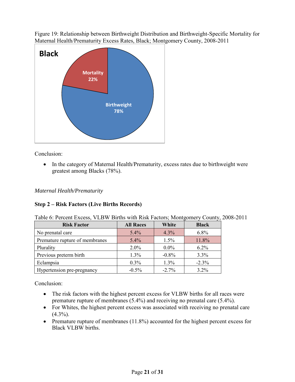Figure 19: Relationship between Birthweight Distribution and Birthweight-Specific Mortality for Maternal Health/Prematurity Excess Rates, Black; Montgomery County, 2008-2011



Conclusion:

• In the category of Maternal Health/Prematurity, excess rates due to birthweight were greatest among Blacks (78%).

*Maternal Health/Prematurity* 

# **Step 2 – Risk Factors (Live Births Records)**

| Table 6: Percent Excess, VLBW Births with Risk Factors; Montgomery County, 2008-2011 |  |  |  |
|--------------------------------------------------------------------------------------|--|--|--|
|                                                                                      |  |  |  |

| <b>Risk Factor</b>             | <b>All Races</b> | White    | <b>Black</b> |
|--------------------------------|------------------|----------|--------------|
| No prenatal care               | 5.4%             | 4.3%     | 6.8%         |
| Premature rupture of membranes | 5.4%             | 1.5%     | 11.8%        |
| Plurality                      | $2.0\%$          | $0.0\%$  | $6.2\%$      |
| Previous preterm birth         | 1.3%             | $-0.8%$  | 3.3%         |
| Eclampsia                      | $0.3\%$          | 1.3%     | $-2.3\%$     |
| Hypertension pre-pregnancy     | $-0.5%$          | $-2.7\%$ | 3.2%         |

Conclusion:

- The risk factors with the highest percent excess for VLBW births for all races were premature rupture of membranes (5.4%) and receiving no prenatal care (5.4%).
- For Whites, the highest percent excess was associated with receiving no prenatal care  $(4.3\%)$ .
- Premature rupture of membranes  $(11.8\%)$  accounted for the highest percent excess for Black VLBW births.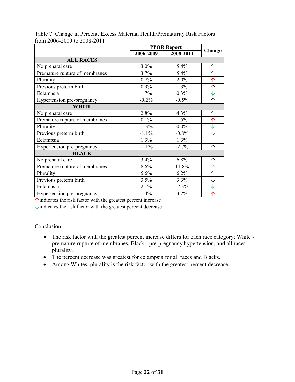|                                |           | <b>PPOR Report</b> |              |  |
|--------------------------------|-----------|--------------------|--------------|--|
|                                | 2006-2009 | 2008-2011          | Change       |  |
| <b>ALL RACES</b>               |           |                    |              |  |
| No prenatal care               | 3.0%      | 5.4%               | 个            |  |
| Premature rupture of membranes | 3.7%      | 5.4%               | 个            |  |
| Plurality                      | 0.7%      | 2.0%               | 个            |  |
| Previous preterm birth         | 0.9%      | 1.3%               | ↑            |  |
| Eclampsia                      | 1.7%      | 0.3%               | $\downarrow$ |  |
| Hypertension pre-pregnancy     | $-0.2%$   | $-0.5%$            | ↑            |  |
| WHITE                          |           |                    |              |  |
| No prenatal care               | 2.8%      | 4.3%               | 个            |  |
| Premature rupture of membranes | 0.1%      | 1.5%               | ↑            |  |
| Plurality                      | $-1.3%$   | $0.0\%$            | $\downarrow$ |  |
| Previous preterm birth         | $-1.1%$   | $-0.8%$            | ↓            |  |
| Eclampsia                      | 1.3%      | 1.3%               |              |  |
| Hypertension pre-pregnancy     | $-1.1%$   | $-2.7%$            | 个            |  |
| <b>BLACK</b>                   |           |                    |              |  |
| No prenatal care               | 3.4%      | 6.8%               | 个            |  |
| Premature rupture of membranes | 8.6%      | 11.8%              | 个            |  |
| Plurality                      | 5.6%      | 6.2%               | ↑            |  |
| Previous preterm birth         | 3.5%      | 3.3%               | ↓            |  |
| Eclampsia                      | 2.1%      | $-2.3%$            | $\downarrow$ |  |
| Hypertension pre-pregnancy     | 1.4%      | 3.2%               | ↑            |  |

Table 7: Change in Percent, Excess Maternal Health/Prematurity Risk Factors from 2006-2009 to 2008-2011

**↑**indicates the risk factor with the greatest percent increase

**↓**indicates the risk factor with the greatest percent decrease

Conclusion:

- The risk factor with the greatest percent increase differs for each race category; White premature rupture of membranes, Black - pre-pregnancy hypertension, and all races plurality.
- The percent decrease was greatest for eclampsia for all races and Blacks.
- Among Whites, plurality is the risk factor with the greatest percent decrease.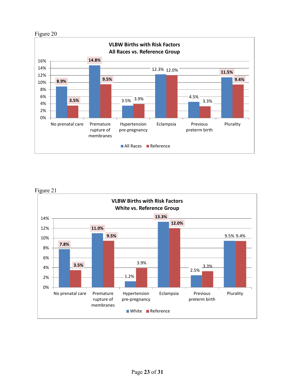



Figure 21

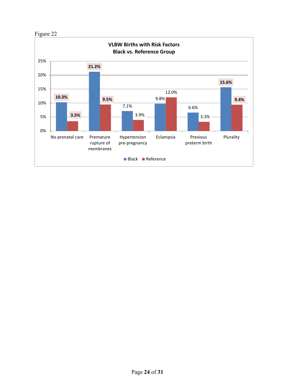

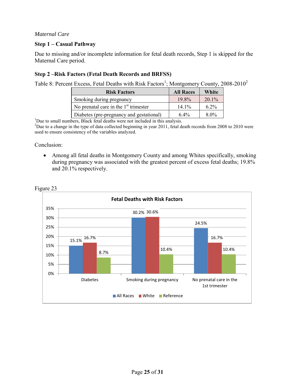#### *Maternal Care*

### **Step 1 – Casual Pathway**

Due to missing and/or incomplete information for fetal death records, Step 1 is skipped for the Maternal Care period.

# **Step 2 –Risk Factors (Fetal Death Records and BRFSS)**

Table 8: Percent Excess, Fetal Deaths with Risk Factors<sup>1</sup>; Montgomery County, 2008-2010<sup>2</sup>

| <b>Risk Factors</b>                      | <b>All Races</b> | White    |
|------------------------------------------|------------------|----------|
| Smoking during pregnancy                 | 19.8%            | $20.1\%$ |
| No prenatal care in the $1st$ trimester  | $14.1\%$         | $6.2\%$  |
| Diabetes (pre-pregnancy and gestational) | $6.4\%$          | $8.0\%$  |

<sup>1</sup>Due to small numbers, Black fetal deaths were not included in this analysis.

<sup>2</sup>Due to a change in the type of data collected beginning in year 2011, fetal death records from 2008 to 2010 were used to ensure consistency of the variables analyzed.

#### Conclusion:

• Among all fetal deaths in Montgomery County and among Whites specifically, smoking during pregnancy was associated with the greatest percent of excess fetal deaths; 19.8% and 20.1% respectively.



Figure 23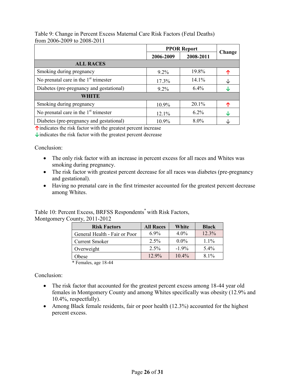|                                          | <b>PPOR Report</b> |           |        |
|------------------------------------------|--------------------|-----------|--------|
|                                          | 2006-2009          | 2008-2011 | Change |
| <b>ALL RACES</b>                         |                    |           |        |
| Smoking during pregnancy                 | $9.2\%$            | 19.8%     |        |
| No prenatal care in the $1st$ trimester  | 17.3%              | 14.1%     |        |
| Diabetes (pre-pregnancy and gestational) | $9.2\%$            | 6.4%      |        |
| <b>WHITE</b>                             |                    |           |        |
| Smoking during pregnancy                 | 10.9%              | $20.1\%$  |        |
| No prenatal care in the $1st$ trimester  | 12.1%              | $6.2\%$   | Jz     |
| Diabetes (pre-pregnancy and gestational) | 10.9%              | 8.0%      |        |

Table 9: Change in Percent Excess Maternal Care Risk Factors (Fetal Deaths) from 2006-2009 to 2008-2011

**↑**indicates the risk factor with the greatest percent increase

**↓**indicates the risk factor with the greatest percent decrease

Conclusion:

- The only risk factor with an increase in percent excess for all races and Whites was smoking during pregnancy.
- The risk factor with greatest percent decrease for all races was diabetes (pre-pregnancy and gestational).
- Having no prenatal care in the first trimester accounted for the greatest percent decrease among Whites.

Table 10: Percent Excess, BRFSS Respondents<sup>\*</sup> with Risk Factors, Montgomery County, 2011-2012

| <b>Risk Factors</b>           | <b>All Races</b> | White    | <b>Black</b> |
|-------------------------------|------------------|----------|--------------|
| General Health - Fair or Poor | $6.9\%$          | $4.0\%$  | 12.3%        |
| <b>Current Smoker</b>         | 2.5%             | $0.0\%$  | $1.1\%$      |
| Overweight                    | $2.5\%$          | $-1.9\%$ | $5.4\%$      |
| Obese                         | $12.9\%$         | 10.4%    | $8.1\%$      |

\* Females, age 18-44

Conclusion:

- The risk factor that accounted for the greatest percent excess among 18-44 year old females in Montgomery County and among Whites specifically was obesity (12.9% and 10.4%, respectfully).
- Among Black female residents, fair or poor health (12.3%) accounted for the highest percent excess.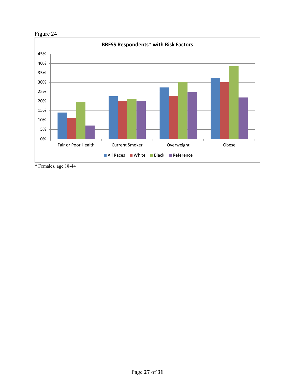



\* Females, age 18-44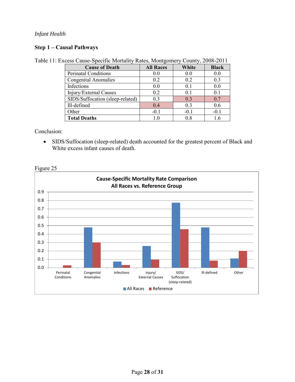### *Infant Health*

# **Step 1 – Causal Pathways**

|  |  | Table 11: Excess Cause-Specific Mortality Rates, Montgomery County, 2008-2011 |
|--|--|-------------------------------------------------------------------------------|
|  |  |                                                                               |

| <b>Cause of Death</b>            | <b>All Races</b> | White  | <b>Black</b> |
|----------------------------------|------------------|--------|--------------|
| <b>Perinatal Conditions</b>      | 0.0              | 0.0    | 0.0          |
| <b>Congenital Anomalies</b>      | 0.2              | 0.2    | 0.3          |
| Infections                       | 0.0              | 0.1    | 0.0          |
| Injury/External Causes           | 0.2              | 0.1    | 0.1          |
| SIDS/Suffocation (sleep-related) | 0.3              | 0.3    | 0.7          |
| Ill-defined                      | 0.4              | 0.3    | 0.6          |
| Other                            | $-0.1$           | $-0.1$ | $-0.1$       |
| <b>Total Deaths</b>              | 10               | 0.8    |              |

Conclusion:

 SIDS/Suffocation (sleep-related) death accounted for the greatest percent of Black and White excess infant causes of death.

Figure 25

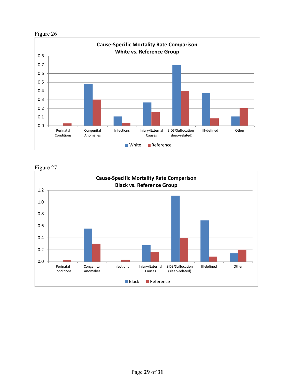

Figure 27

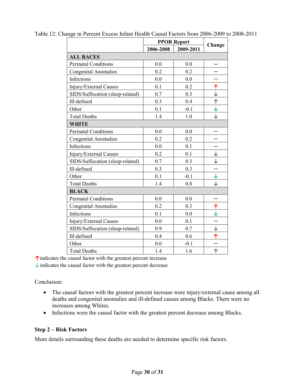|                                  | <b>PPOR Report</b> |           |                      |  |  |  |
|----------------------------------|--------------------|-----------|----------------------|--|--|--|
|                                  | 2006-2008          | 2009-2011 | Change               |  |  |  |
| <b>ALL RACES</b>                 |                    |           |                      |  |  |  |
| Perinatal Conditions             | 0.0                | 0.0       |                      |  |  |  |
| <b>Congenital Anomalies</b>      | 0.2                | 0.2       |                      |  |  |  |
| <b>Infections</b>                | 0.0                | 0.0       |                      |  |  |  |
| Injury/External Causes           | 0.1                | 0.2       | 个                    |  |  |  |
| SIDS/Suffocation (sleep-related) | 0.7                | 0.3       | $\downarrow$         |  |  |  |
| Ill-defined                      | 0.3                | 0.4       | 个                    |  |  |  |
| Other                            | 0.1                | $-0.1$    | $\downarrow$         |  |  |  |
| <b>Total Deaths</b>              | 1.4                | 1.0       | $\downarrow$         |  |  |  |
| <b>WHITE</b>                     |                    |           |                      |  |  |  |
| <b>Perinatal Conditions</b>      | 0.0                | 0.0       |                      |  |  |  |
| <b>Congenital Anomalies</b>      | 0.2                | 0.2       |                      |  |  |  |
| Infections                       | 0.0                | 0.1       |                      |  |  |  |
| Injury/External Causes           | 0.2                | 0.1       | ↓                    |  |  |  |
| SIDS/Suffocation (sleep-related) | 0.7                | 0.3       | $\downarrow$         |  |  |  |
| Ill-defined                      | 0.3                | 0.3       |                      |  |  |  |
| Other                            | 0.1                | $-0.1$    | $\downarrow$         |  |  |  |
| <b>Total Deaths</b>              | 1.4                | 0.8       | ↓                    |  |  |  |
| <b>BLACK</b>                     |                    |           |                      |  |  |  |
| Perinatal Conditions             | 0.0                | 0.0       |                      |  |  |  |
| <b>Congenital Anomalies</b>      | 0.2                | 0.3       | 个                    |  |  |  |
| Infections                       | 0.1                | 0.0       | $\downarrow$         |  |  |  |
| Injury/External Causes           | 0.0                | 0.1       |                      |  |  |  |
| SIDS/Suffocation (sleep-related) | 0.9                | 0.7       | $\frac{1}{\Upsilon}$ |  |  |  |
| Ill-defined                      | 0.4                | 0.6       |                      |  |  |  |
| Other                            | 0.0                | $-0.1$    |                      |  |  |  |
| <b>Total Deaths</b>              | 1.4                | 1.6       | ↑                    |  |  |  |

Table 12: Change in Percent Excess Infant Health Causal Factors from 2006-2009 to 2008-2011

**↑**indicates the causal factor with the greatest percent increase

 $\downarrow$  indicates the causal factor with the greatest percent decrease

Conclusion:

- The causal factors with the greatest percent increase were injury/external cause among all deaths and congenital anomalies and ill-defined causes among Blacks. There were no increases among Whites.
- Infections were the causal factor with the greatest percent decrease among Blacks.

#### **Step 2 – Risk Factors**

More details surrounding these deaths are needed to determine specific risk factors.